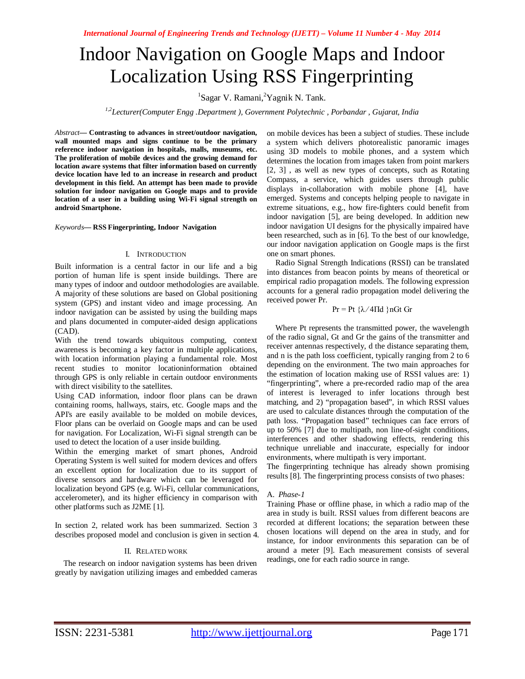# Indoor Navigation on Google Maps and Indoor Localization Using RSS Fingerprinting

<sup>1</sup>Sagar V. Ramani, <sup>2</sup>Yagnik N. Tank.

*1,2Lecturer(Computer Engg .Department ), Government Polytechnic , Porbandar , Gujarat, India*

*Abstract***— Contrasting to advances in street/outdoor navigation, wall mounted maps and signs continue to be the primary reference indoor navigation in hospitals, malls, museums, etc. The proliferation of mobile devices and the growing demand for location aware systems that filter information based on currently device location have led to an increase in research and product development in this field. An attempt has been made to provide solution for indoor navigation on Google maps and to provide location of a user in a building using Wi-Fi signal strength on android Smartphone.**

*Keywords***— RSS Fingerprinting, Indoor Navigation**

#### I. INTRODUCTION

Built information is a central factor in our life and a big portion of human life is spent inside buildings. There are many types of indoor and outdoor methodologies are available. A majority of these solutions are based on Global positioning system (GPS) and instant video and image processing. An indoor navigation can be assisted by using the building maps and plans documented in computer-aided design applications (CAD).

With the trend towards ubiquitous computing, context awareness is becoming a key factor in multiple applications, with location information playing a fundamental role. Most recent studies to monitor locationinformation obtained through GPS is only reliable in certain outdoor environments with direct visibility to the satellites.

Using CAD information, indoor floor plans can be drawn containing rooms, hallways, stairs, etc. Google maps and the API's are easily available to be molded on mobile devices, Floor plans can be overlaid on Google maps and can be used for navigation. For Localization, Wi-Fi signal strength can be used to detect the location of a user inside building.

Within the emerging market of smart phones, Android Operating System is well suited for modern devices and offers an excellent option for localization due to its support of diverse sensors and hardware which can be leveraged for localization beyond GPS (e.g. Wi-Fi, cellular communications, accelerometer), and its higher efficiency in comparison with other platforms such as J2ME [1].

In section 2, related work has been summarized. Section 3 describes proposed model and conclusion is given in section 4.

#### II. RELATED WORK

The research on indoor navigation systems has been driven greatly by navigation utilizing images and embedded cameras on mobile devices has been a subject of studies. These include a system which delivers photorealistic panoramic images using 3D models to mobile phones, and a system which determines the location from images taken from point markers [2, 3] , as well as new types of concepts, such as Rotating Compass, a service, which guides users through public displays in-collaboration with mobile phone [4], have emerged. Systems and concepts helping people to navigate in extreme situations, e.g., how fire-fighters could benefit from indoor navigation [5], are being developed. In addition new indoor navigation UI designs for the physically impaired have been researched, such as in [6]. To the best of our knowledge, our indoor navigation application on Google maps is the first one on smart phones.

Radio Signal Strength Indications (RSSI) can be translated into distances from beacon points by means of theoretical or empirical radio propagation models. The following expression accounts for a general radio propagation model delivering the received power Pr.

Pr = Pt {λ ⁄ 4Πd }nGt Gr

Where Pt represents the transmitted power, the wavelength of the radio signal, Gt and Gr the gains of the transmitter and receiver antennas respectively, d the distance separating them, and n is the path loss coefficient, typically ranging from 2 to 6 depending on the environment. The two main approaches for the estimation of location making use of RSSI values are: 1) "fingerprinting", where a pre-recorded radio map of the area of interest is leveraged to infer locations through best matching, and 2) "propagation based", in which RSSI values are used to calculate distances through the computation of the path loss. "Propagation based" techniques can face errors of up to 50% [7] due to multipath, non line-of-sight conditions, interferences and other shadowing effects, rendering this technique unreliable and inaccurate, especially for indoor environments, where multipath is very important.

The fingerprinting technique has already shown promising results [8]. The fingerprinting process consists of two phases:

## A. *Phase-1*

Training Phase or offline phase, in which a radio map of the area in study is built. RSSI values from different beacons are recorded at different locations; the separation between these chosen locations will depend on the area in study, and for instance, for indoor environments this separation can be of around a meter [9]. Each measurement consists of several readings, one for each radio source in range.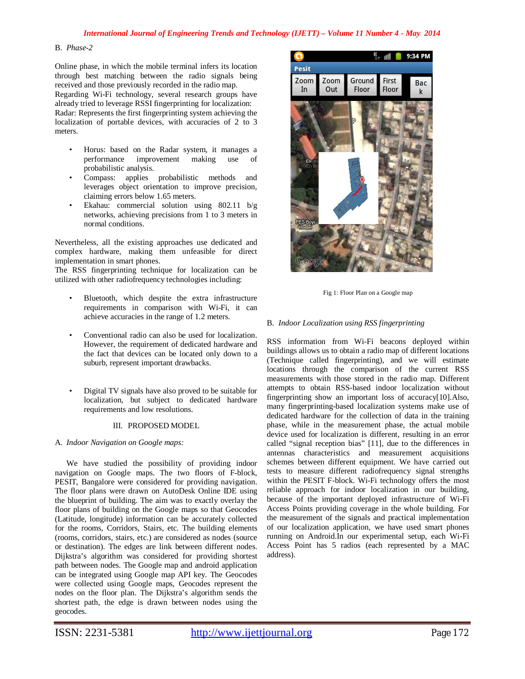# B. *Phase-2*

Online phase, in which the mobile terminal infers its location through best matching between the radio signals being received and those previously recorded in the radio map. Regarding Wi-Fi technology, several research groups have already tried to leverage RSSI fingerprinting for localization: Radar: Represents the first fingerprinting system achieving the localization of portable devices, with accuracies of 2 to 3 meters.

- Horus: based on the Radar system, it manages a improvement making use of probabilistic analysis.
- Compass: applies probabilistic methods and leverages object orientation to improve precision, claiming errors below 1.65 meters.
- Ekahau: commercial solution using 802.11 b/g networks, achieving precisions from 1 to 3 meters in normal conditions.

Nevertheless, all the existing approaches use dedicated and complex hardware, making them unfeasible for direct implementation in smart phones.

The RSS fingerprinting technique for localization can be utilized with other radiofrequency technologies including:

- Bluetooth, which despite the extra infrastructure requirements in comparison with Wi-Fi, it can achieve accuracies in the range of 1.2 meters.
- Conventional radio can also be used for localization. However, the requirement of dedicated hardware and the fact that devices can be located only down to a suburb, represent important drawbacks.
- Digital TV signals have also proved to be suitable for localization, but subject to dedicated hardware requirements and low resolutions.

## III. PROPOSED MODEL

# A. *Indoor Navigation on Google maps:*

We have studied the possibility of providing indoor navigation on Google maps. The two floors of F-block, PESIT, Bangalore were considered for providing navigation. The floor plans were drawn on AutoDesk Online IDE using the blueprint of building. The aim was to exactly overlay the floor plans of building on the Google maps so that Geocodes (Latitude, longitude) information can be accurately collected for the rooms, Corridors, Stairs, etc. The building elements (rooms, corridors, stairs, etc.) are considered as nodes (source or destination). The edges are link between different nodes. Dijkstra's algorithm was considered for providing shortest path between nodes. The Google map and android application can be integrated using Google map API key. The Geocodes were collected using Google maps, Geocodes represent the nodes on the floor plan. The Dijkstra's algorithm sends the shortest path, the edge is drawn between nodes using the geocodes.



Fig 1: Floor Plan on a Google map

## B. *Indoor Localization using RSS fingerprinting*

RSS information from Wi-Fi beacons deployed within buildings allows us to obtain a radio map of different locations (Technique called fingerprinting), and we will estimate locations through the comparison of the current RSS measurements with those stored in the radio map. Different attempts to obtain RSS-based indoor localization without fingerprinting show an important loss of accuracy[10].Also, many fingerprinting-based localization systems make use of dedicated hardware for the collection of data in the training phase, while in the measurement phase, the actual mobile device used for localization is different, resulting in an error called "signal reception bias" [11], due to the differences in antennas characteristics and measurement acquisitions schemes between different equipment. We have carried out tests to measure different radiofrequency signal strengths within the PESIT F-block. Wi-Fi technology offers the most reliable approach for indoor localization in our building, because of the important deployed infrastructure of Wi-Fi Access Points providing coverage in the whole building. For the measurement of the signals and practical implementation of our localization application, we have used smart phones running on Android.In our experimental setup, each Wi-Fi Access Point has 5 radios (each represented by a MAC address).